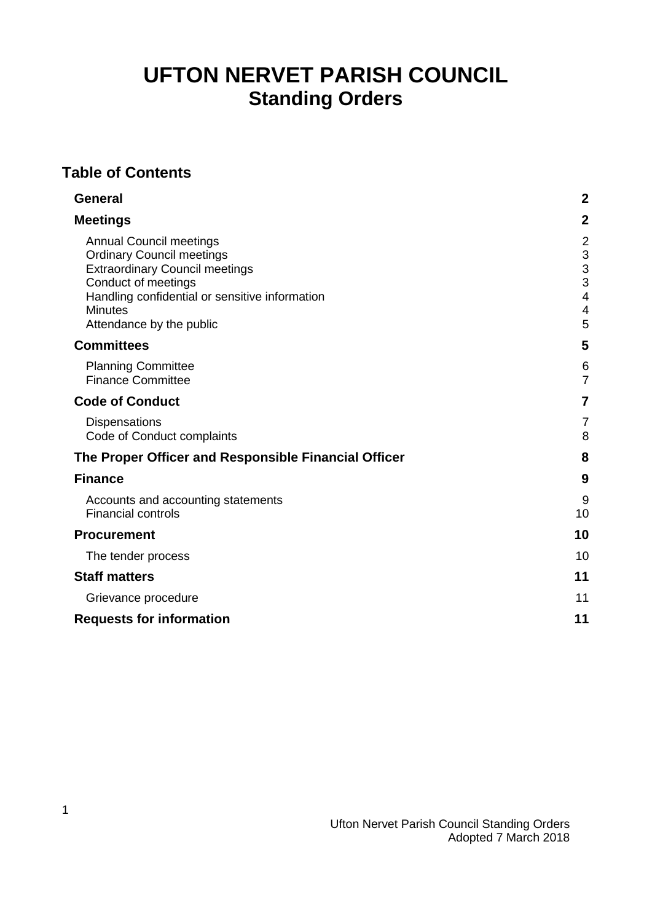# **UFTON NERVET PARISH COUNCIL Standing Orders**

## **Table of Contents**

| <b>General</b>                                                                                                                                                                                                                     | $\boldsymbol{2}$                             |
|------------------------------------------------------------------------------------------------------------------------------------------------------------------------------------------------------------------------------------|----------------------------------------------|
| <b>Meetings</b>                                                                                                                                                                                                                    | $\overline{2}$                               |
| <b>Annual Council meetings</b><br><b>Ordinary Council meetings</b><br><b>Extraordinary Council meetings</b><br>Conduct of meetings<br>Handling confidential or sensitive information<br><b>Minutes</b><br>Attendance by the public | $\overline{2}$<br>3<br>3<br>3<br>4<br>4<br>5 |
| <b>Committees</b>                                                                                                                                                                                                                  | 5                                            |
| <b>Planning Committee</b><br><b>Finance Committee</b>                                                                                                                                                                              | 6<br>$\overline{7}$                          |
| <b>Code of Conduct</b>                                                                                                                                                                                                             | 7                                            |
| <b>Dispensations</b><br>Code of Conduct complaints                                                                                                                                                                                 | 7<br>8                                       |
| The Proper Officer and Responsible Financial Officer                                                                                                                                                                               | 8                                            |
| <b>Finance</b>                                                                                                                                                                                                                     | 9                                            |
| Accounts and accounting statements<br><b>Financial controls</b>                                                                                                                                                                    | 9<br>10                                      |
| <b>Procurement</b>                                                                                                                                                                                                                 | 10                                           |
| The tender process                                                                                                                                                                                                                 | 10                                           |
| <b>Staff matters</b>                                                                                                                                                                                                               | 11                                           |
| Grievance procedure                                                                                                                                                                                                                | 11                                           |
| <b>Requests for information</b>                                                                                                                                                                                                    | 11                                           |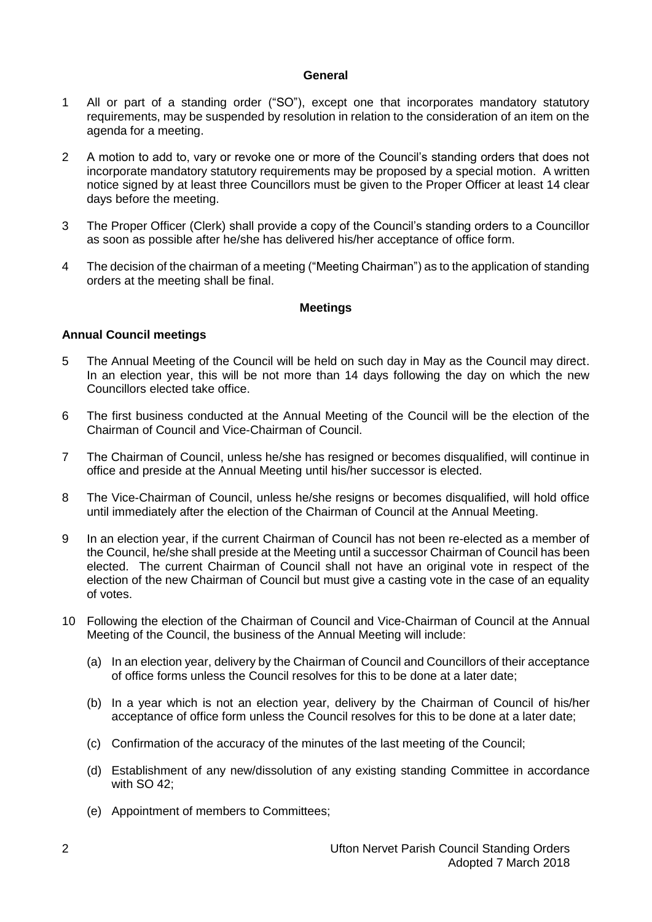#### **General**

- <span id="page-1-0"></span>1 All or part of a standing order ("SO"), except one that incorporates mandatory statutory requirements, may be suspended by resolution in relation to the consideration of an item on the agenda for a meeting.
- 2 A motion to add to, vary or revoke one or more of the Council's standing orders that does not incorporate mandatory statutory requirements may be proposed by a special motion. A written notice signed by at least three Councillors must be given to the Proper Officer at least 14 clear days before the meeting.
- 3 The Proper Officer (Clerk) shall provide a copy of the Council's standing orders to a Councillor as soon as possible after he/she has delivered his/her acceptance of office form.
- 4 The decision of the chairman of a meeting ("Meeting Chairman") as to the application of standing orders at the meeting shall be final.

#### **Meetings**

#### <span id="page-1-2"></span><span id="page-1-1"></span>**Annual Council meetings**

- 5 The Annual Meeting of the Council will be held on such day in May as the Council may direct. In an election year, this will be not more than 14 days following the day on which the new Councillors elected take office.
- 6 The first business conducted at the Annual Meeting of the Council will be the election of the Chairman of Council and Vice-Chairman of Council.
- 7 The Chairman of Council, unless he/she has resigned or becomes disqualified, will continue in office and preside at the Annual Meeting until his/her successor is elected.
- 8 The Vice-Chairman of Council, unless he/she resigns or becomes disqualified, will hold office until immediately after the election of the Chairman of Council at the Annual Meeting.
- 9 In an election year, if the current Chairman of Council has not been re-elected as a member of the Council, he/she shall preside at the Meeting until a successor Chairman of Council has been elected. The current Chairman of Council shall not have an original vote in respect of the election of the new Chairman of Council but must give a casting vote in the case of an equality of votes.
- 10 Following the election of the Chairman of Council and Vice-Chairman of Council at the Annual Meeting of the Council, the business of the Annual Meeting will include:
	- (a) In an election year, delivery by the Chairman of Council and Councillors of their acceptance of office forms unless the Council resolves for this to be done at a later date;
	- (b) In a year which is not an election year, delivery by the Chairman of Council of his/her acceptance of office form unless the Council resolves for this to be done at a later date;
	- (c) Confirmation of the accuracy of the minutes of the last meeting of the Council;
	- (d) Establishment of any new/dissolution of any existing standing Committee in accordance with SO 42:
	- (e) Appointment of members to Committees;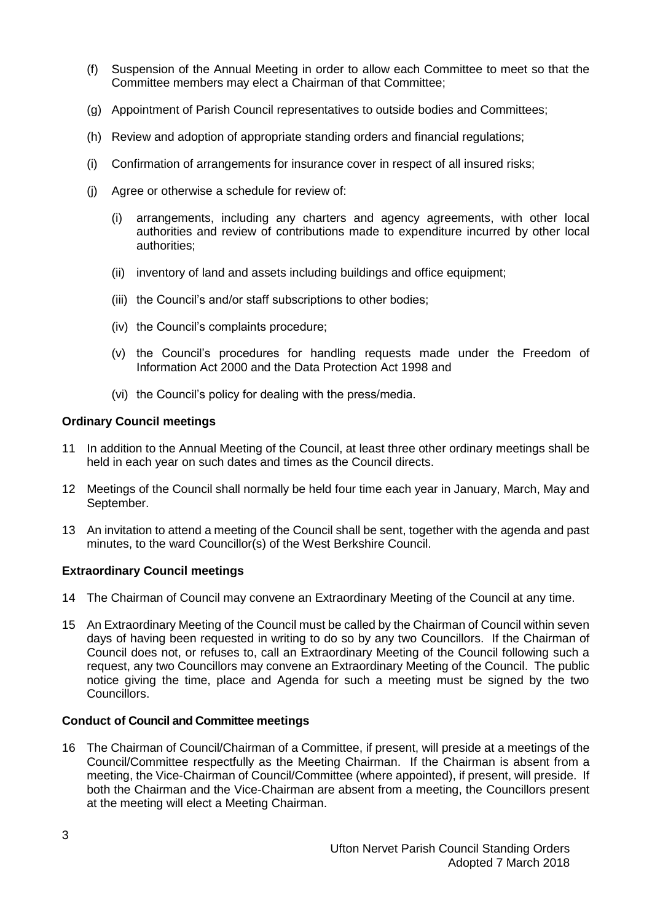- (f) Suspension of the Annual Meeting in order to allow each Committee to meet so that the Committee members may elect a Chairman of that Committee;
- (g) Appointment of Parish Council representatives to outside bodies and Committees;
- (h) Review and adoption of appropriate standing orders and financial regulations;
- (i) Confirmation of arrangements for insurance cover in respect of all insured risks;
- (j) Agree or otherwise a schedule for review of:
	- (i) arrangements, including any charters and agency agreements, with other local authorities and review of contributions made to expenditure incurred by other local authorities;
	- (ii) inventory of land and assets including buildings and office equipment;
	- (iii) the Council's and/or staff subscriptions to other bodies;
	- (iv) the Council's complaints procedure;
	- (v) the Council's procedures for handling requests made under the Freedom of Information Act 2000 and the Data Protection Act 1998 and
	- (vi) the Council's policy for dealing with the press/media.

#### <span id="page-2-0"></span>**Ordinary Council meetings**

- 11 In addition to the Annual Meeting of the Council, at least three other ordinary meetings shall be held in each year on such dates and times as the Council directs.
- 12 Meetings of the Council shall normally be held four time each year in January, March, May and September.
- 13 An invitation to attend a meeting of the Council shall be sent, together with the agenda and past minutes, to the ward Councillor(s) of the West Berkshire Council.

#### <span id="page-2-1"></span>**Extraordinary Council meetings**

- 14 The Chairman of Council may convene an Extraordinary Meeting of the Council at any time.
- 15 An Extraordinary Meeting of the Council must be called by the Chairman of Council within seven days of having been requested in writing to do so by any two Councillors. If the Chairman of Council does not, or refuses to, call an Extraordinary Meeting of the Council following such a request, any two Councillors may convene an Extraordinary Meeting of the Council. The public notice giving the time, place and Agenda for such a meeting must be signed by the two Councillors.

#### <span id="page-2-2"></span>**Conduct of Council and Committee meetings**

16 The Chairman of Council/Chairman of a Committee, if present, will preside at a meetings of the Council/Committee respectfully as the Meeting Chairman. If the Chairman is absent from a meeting, the Vice-Chairman of Council/Committee (where appointed), if present, will preside. If both the Chairman and the Vice-Chairman are absent from a meeting, the Councillors present at the meeting will elect a Meeting Chairman.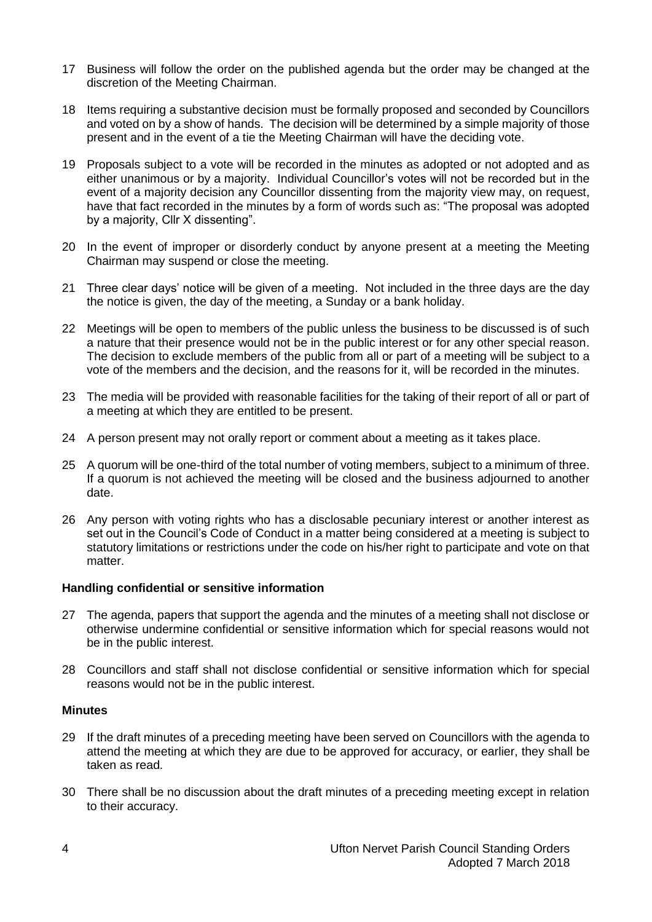- 17 Business will follow the order on the published agenda but the order may be changed at the discretion of the Meeting Chairman.
- 18 Items requiring a substantive decision must be formally proposed and seconded by Councillors and voted on by a show of hands. The decision will be determined by a simple majority of those present and in the event of a tie the Meeting Chairman will have the deciding vote.
- 19 Proposals subject to a vote will be recorded in the minutes as adopted or not adopted and as either unanimous or by a majority. Individual Councillor's votes will not be recorded but in the event of a majority decision any Councillor dissenting from the majority view may, on request, have that fact recorded in the minutes by a form of words such as: "The proposal was adopted by a majority, Cllr X dissenting".
- 20 In the event of improper or disorderly conduct by anyone present at a meeting the Meeting Chairman may suspend or close the meeting.
- 21 Three clear days' notice will be given of a meeting. Not included in the three days are the day the notice is given, the day of the meeting, a Sunday or a bank holiday.
- 22 Meetings will be open to members of the public unless the business to be discussed is of such a nature that their presence would not be in the public interest or for any other special reason. The decision to exclude members of the public from all or part of a meeting will be subject to a vote of the members and the decision, and the reasons for it, will be recorded in the minutes.
- 23 The media will be provided with reasonable facilities for the taking of their report of all or part of a meeting at which they are entitled to be present.
- 24 A person present may not orally report or comment about a meeting as it takes place.
- 25 A quorum will be one-third of the total number of voting members, subject to a minimum of three. If a quorum is not achieved the meeting will be closed and the business adjourned to another date.
- 26 Any person with voting rights who has a disclosable pecuniary interest or another interest as set out in the Council's Code of Conduct in a matter being considered at a meeting is subject to statutory limitations or restrictions under the code on his/her right to participate and vote on that matter.

#### <span id="page-3-0"></span>**Handling confidential or sensitive information**

- 27 The agenda, papers that support the agenda and the minutes of a meeting shall not disclose or otherwise undermine confidential or sensitive information which for special reasons would not be in the public interest.
- 28 Councillors and staff shall not disclose confidential or sensitive information which for special reasons would not be in the public interest.

#### <span id="page-3-1"></span>**Minutes**

- 29 If the draft minutes of a preceding meeting have been served on Councillors with the agenda to attend the meeting at which they are due to be approved for accuracy, or earlier, they shall be taken as read.
- 30 There shall be no discussion about the draft minutes of a preceding meeting except in relation to their accuracy.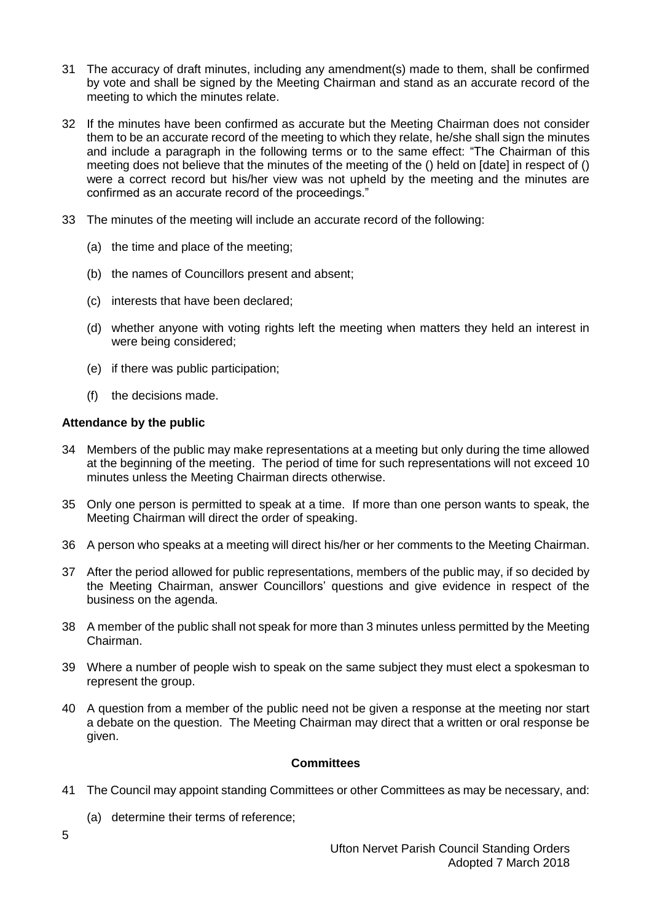- 31 The accuracy of draft minutes, including any amendment(s) made to them, shall be confirmed by vote and shall be signed by the Meeting Chairman and stand as an accurate record of the meeting to which the minutes relate.
- 32 If the minutes have been confirmed as accurate but the Meeting Chairman does not consider them to be an accurate record of the meeting to which they relate, he/she shall sign the minutes and include a paragraph in the following terms or to the same effect: "The Chairman of this meeting does not believe that the minutes of the meeting of the () held on [date] in respect of () were a correct record but his/her view was not upheld by the meeting and the minutes are confirmed as an accurate record of the proceedings."
- 33 The minutes of the meeting will include an accurate record of the following:
	- (a) the time and place of the meeting;
	- (b) the names of Councillors present and absent;
	- (c) interests that have been declared;
	- (d) whether anyone with voting rights left the meeting when matters they held an interest in were being considered;
	- (e) if there was public participation;
	- (f) the decisions made.

#### <span id="page-4-0"></span>**Attendance by the public**

- 34 Members of the public may make representations at a meeting but only during the time allowed at the beginning of the meeting. The period of time for such representations will not exceed 10 minutes unless the Meeting Chairman directs otherwise.
- 35 Only one person is permitted to speak at a time. If more than one person wants to speak, the Meeting Chairman will direct the order of speaking.
- 36 A person who speaks at a meeting will direct his/her or her comments to the Meeting Chairman.
- 37 After the period allowed for public representations, members of the public may, if so decided by the Meeting Chairman, answer Councillors' questions and give evidence in respect of the business on the agenda.
- 38 A member of the public shall not speak for more than 3 minutes unless permitted by the Meeting Chairman.
- 39 Where a number of people wish to speak on the same subject they must elect a spokesman to represent the group.
- 40 A question from a member of the public need not be given a response at the meeting nor start a debate on the question. The Meeting Chairman may direct that a written or oral response be given.

### **Committees**

- <span id="page-4-1"></span>41 The Council may appoint standing Committees or other Committees as may be necessary, and:
	- (a) determine their terms of reference;

5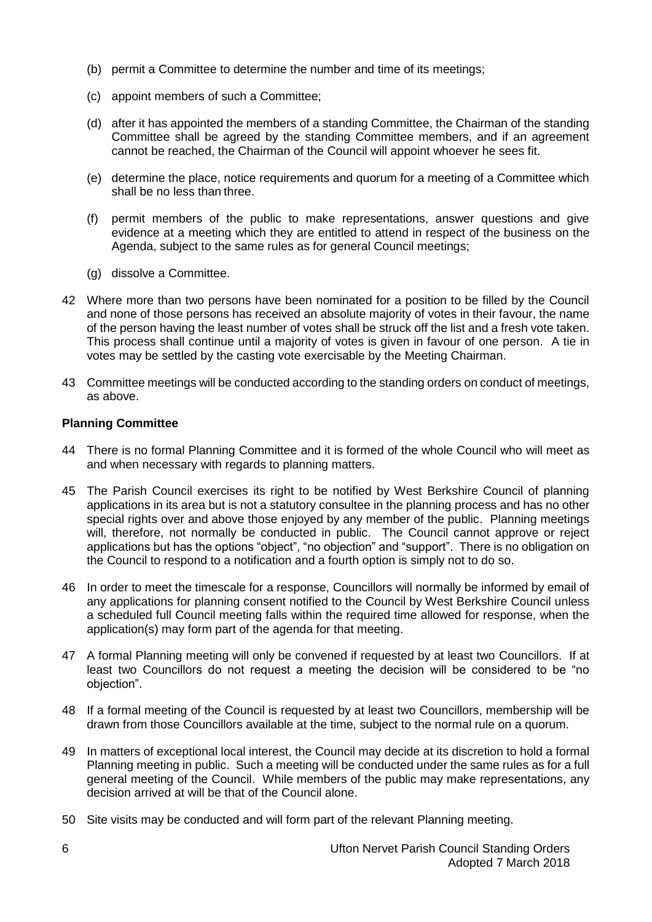- (b) permit a Committee to determine the number and time of its meetings;
- (c) appoint members of such a Committee;
- (d) after it has appointed the members of a standing Committee, the Chairman of the standing Committee shall be agreed by the standing Committee members, and if an agreement cannot be reached, the Chairman of the Council will appoint whoever he sees fit.
- (e) determine the place, notice requirements and quorum for a meeting of a Committee which shall be no less than three.
- (f) permit members of the public to make representations, answer questions and give evidence at a meeting which they are entitled to attend in respect of the business on the Agenda, subject to the same rules as for general Council meetings;
- (g) dissolve a Committee.
- 42 Where more than two persons have been nominated for a position to be filled by the Council and none of those persons has received an absolute majority of votes in their favour, the name of the person having the least number of votes shall be struck off the list and a fresh vote taken. This process shall continue until a majority of votes is given in favour of one person. A tie in votes may be settled by the casting vote exercisable by the Meeting Chairman.
- 43 Committee meetings will be conducted according to the standing orders on conduct of meetings, as above.

#### <span id="page-5-0"></span>**Planning Committee**

- 44 There is no formal Planning Committee and it is formed of the whole Council who will meet as and when necessary with regards to planning matters.
- 45 The Parish Council exercises its right to be notified by West Berkshire Council of planning applications in its area but is not a statutory consultee in the planning process and has no other special rights over and above those enjoyed by any member of the public. Planning meetings will, therefore, not normally be conducted in public. The Council cannot approve or reject applications but has the options "object", "no objection" and "support". There is no obligation on the Council to respond to a notification and a fourth option is simply not to do so.
- 46 In order to meet the timescale for a response, Councillors will normally be informed by email of any applications for planning consent notified to the Council by West Berkshire Council unless a scheduled full Council meeting falls within the required time allowed for response, when the application(s) may form part of the agenda for that meeting.
- 47 A formal Planning meeting will only be convened if requested by at least two Councillors. If at least two Councillors do not request a meeting the decision will be considered to be "no objection".
- 48 If a formal meeting of the Council is requested by at least two Councillors, membership will be drawn from those Councillors available at the time, subject to the normal rule on a quorum.
- 49 In matters of exceptional local interest, the Council may decide at its discretion to hold a formal Planning meeting in public. Such a meeting will be conducted under the same rules as for a full general meeting of the Council. While members of the public may make representations, any decision arrived at will be that of the Council alone.
- 50 Site visits may be conducted and will form part of the relevant Planning meeting.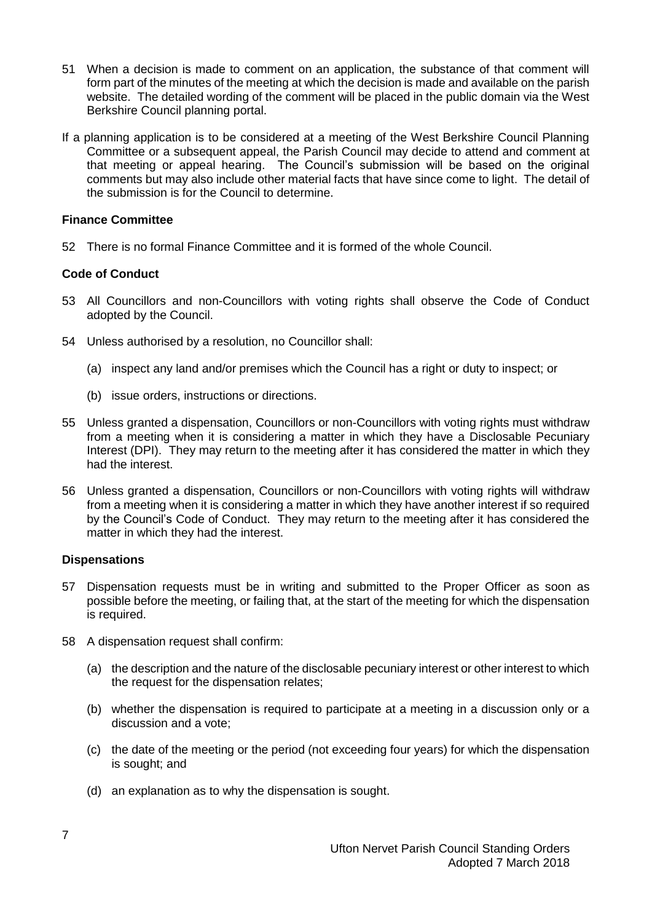- 51 When a decision is made to comment on an application, the substance of that comment will form part of the minutes of the meeting at which the decision is made and available on the parish website. The detailed wording of the comment will be placed in the public domain via the West Berkshire Council planning portal.
- If a planning application is to be considered at a meeting of the West Berkshire Council Planning Committee or a subsequent appeal, the Parish Council may decide to attend and comment at that meeting or appeal hearing. The Council's submission will be based on the original comments but may also include other material facts that have since come to light. The detail of the submission is for the Council to determine.

#### <span id="page-6-0"></span>**Finance Committee**

52 There is no formal Finance Committee and it is formed of the whole Council.

#### **Code of Conduct**

- 53 All Councillors and non-Councillors with voting rights shall observe the Code of Conduct adopted by the Council.
- 54 Unless authorised by a resolution, no Councillor shall:
	- (a) inspect any land and/or premises which the Council has a right or duty to inspect; or
	- (b) issue orders, instructions or directions.
- 55 Unless granted a dispensation, Councillors or non-Councillors with voting rights must withdraw from a meeting when it is considering a matter in which they have a Disclosable Pecuniary Interest (DPI). They may return to the meeting after it has considered the matter in which they had the interest.
- 56 Unless granted a dispensation, Councillors or non-Councillors with voting rights will withdraw from a meeting when it is considering a matter in which they have another interest if so required by the Council's Code of Conduct. They may return to the meeting after it has considered the matter in which they had the interest.

#### <span id="page-6-1"></span>**Dispensations**

- 57 Dispensation requests must be in writing and submitted to the Proper Officer as soon as possible before the meeting, or failing that, at the start of the meeting for which the dispensation is required.
- 58 A dispensation request shall confirm:
	- (a) the description and the nature of the disclosable pecuniary interest or other interest to which the request for the dispensation relates;
	- (b) whether the dispensation is required to participate at a meeting in a discussion only or a discussion and a vote;
	- (c) the date of the meeting or the period (not exceeding four years) for which the dispensation is sought; and
	- (d) an explanation as to why the dispensation is sought.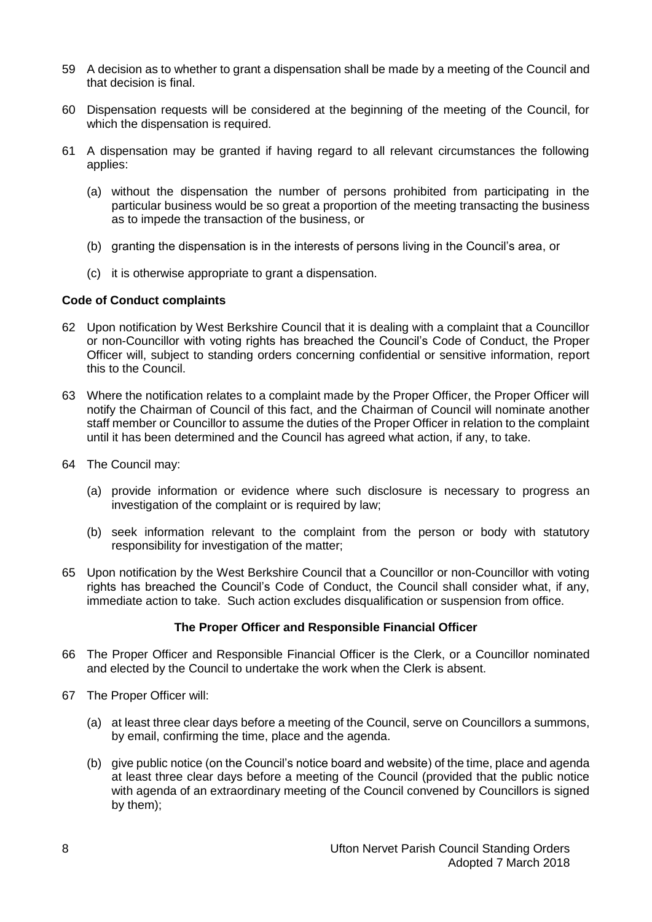- 59 A decision as to whether to grant a dispensation shall be made by a meeting of the Council and that decision is final.
- 60 Dispensation requests will be considered at the beginning of the meeting of the Council, for which the dispensation is required.
- 61 A dispensation may be granted if having regard to all relevant circumstances the following applies:
	- (a) without the dispensation the number of persons prohibited from participating in the particular business would be so great a proportion of the meeting transacting the business as to impede the transaction of the business, or
	- (b) granting the dispensation is in the interests of persons living in the Council's area, or
	- (c) it is otherwise appropriate to grant a dispensation.

#### <span id="page-7-0"></span>**Code of Conduct complaints**

- 62 Upon notification by West Berkshire Council that it is dealing with a complaint that a Councillor or non-Councillor with voting rights has breached the Council's Code of Conduct, the Proper Officer will, subject to standing orders concerning confidential or sensitive information, report this to the Council.
- 63 Where the notification relates to a complaint made by the Proper Officer, the Proper Officer will notify the Chairman of Council of this fact, and the Chairman of Council will nominate another staff member or Councillor to assume the duties of the Proper Officer in relation to the complaint until it has been determined and the Council has agreed what action, if any, to take.
- 64 The Council may:
	- (a) provide information or evidence where such disclosure is necessary to progress an investigation of the complaint or is required by law;
	- (b) seek information relevant to the complaint from the person or body with statutory responsibility for investigation of the matter;
- 65 Upon notification by the West Berkshire Council that a Councillor or non-Councillor with voting rights has breached the Council's Code of Conduct, the Council shall consider what, if any, immediate action to take. Such action excludes disqualification or suspension from office.

#### **The Proper Officer and Responsible Financial Officer**

- <span id="page-7-1"></span>66 The Proper Officer and Responsible Financial Officer is the Clerk, or a Councillor nominated and elected by the Council to undertake the work when the Clerk is absent.
- 67 The Proper Officer will:
	- (a) at least three clear days before a meeting of the Council, serve on Councillors a summons, by email, confirming the time, place and the agenda.
	- (b) give public notice (on the Council's notice board and website) of the time, place and agenda at least three clear days before a meeting of the Council (provided that the public notice with agenda of an extraordinary meeting of the Council convened by Councillors is signed by them);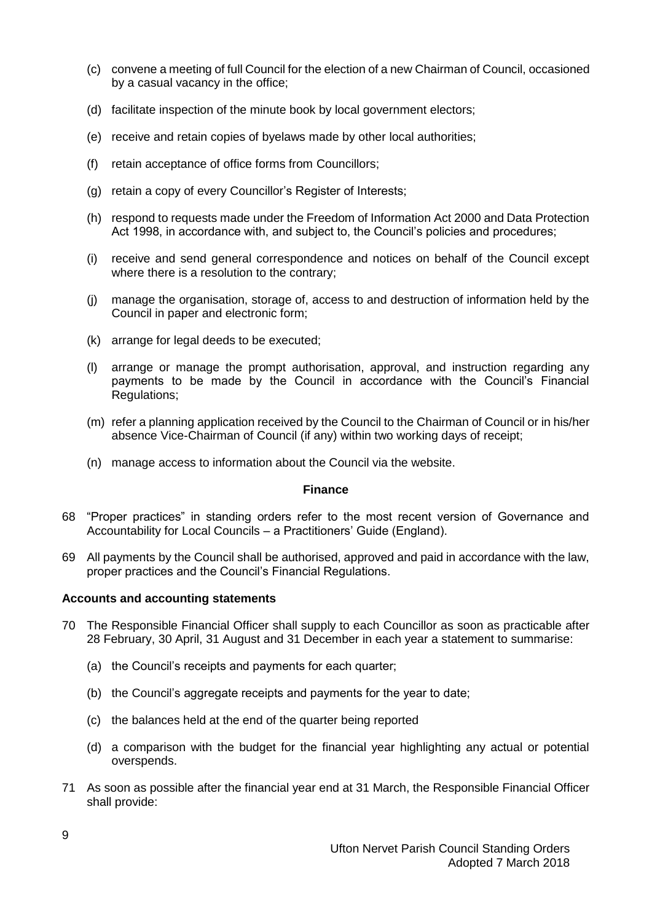- (c) convene a meeting of full Council for the election of a new Chairman of Council, occasioned by a casual vacancy in the office;
- (d) facilitate inspection of the minute book by local government electors;
- (e) receive and retain copies of byelaws made by other local authorities;
- (f) retain acceptance of office forms from Councillors;
- (g) retain a copy of every Councillor's Register of Interests;
- (h) respond to requests made under the Freedom of Information Act 2000 and Data Protection Act 1998, in accordance with, and subject to, the Council's policies and procedures;
- (i) receive and send general correspondence and notices on behalf of the Council except where there is a resolution to the contrary;
- (j) manage the organisation, storage of, access to and destruction of information held by the Council in paper and electronic form;
- (k) arrange for legal deeds to be executed;
- (l) arrange or manage the prompt authorisation, approval, and instruction regarding any payments to be made by the Council in accordance with the Council's Financial Regulations;
- (m) refer a planning application received by the Council to the Chairman of Council or in his/her absence Vice-Chairman of Council (if any) within two working days of receipt;
- (n) manage access to information about the Council via the website.

#### **Finance**

- <span id="page-8-0"></span>68 "Proper practices" in standing orders refer to the most recent version of Governance and Accountability for Local Councils – a Practitioners' Guide (England).
- 69 All payments by the Council shall be authorised, approved and paid in accordance with the law, proper practices and the Council's Financial Regulations.

#### <span id="page-8-1"></span>**Accounts and accounting statements**

- 70 The Responsible Financial Officer shall supply to each Councillor as soon as practicable after 28 February, 30 April, 31 August and 31 December in each year a statement to summarise:
	- (a) the Council's receipts and payments for each quarter;
	- (b) the Council's aggregate receipts and payments for the year to date;
	- (c) the balances held at the end of the quarter being reported
	- (d) a comparison with the budget for the financial year highlighting any actual or potential overspends.
- 71 As soon as possible after the financial year end at 31 March, the Responsible Financial Officer shall provide: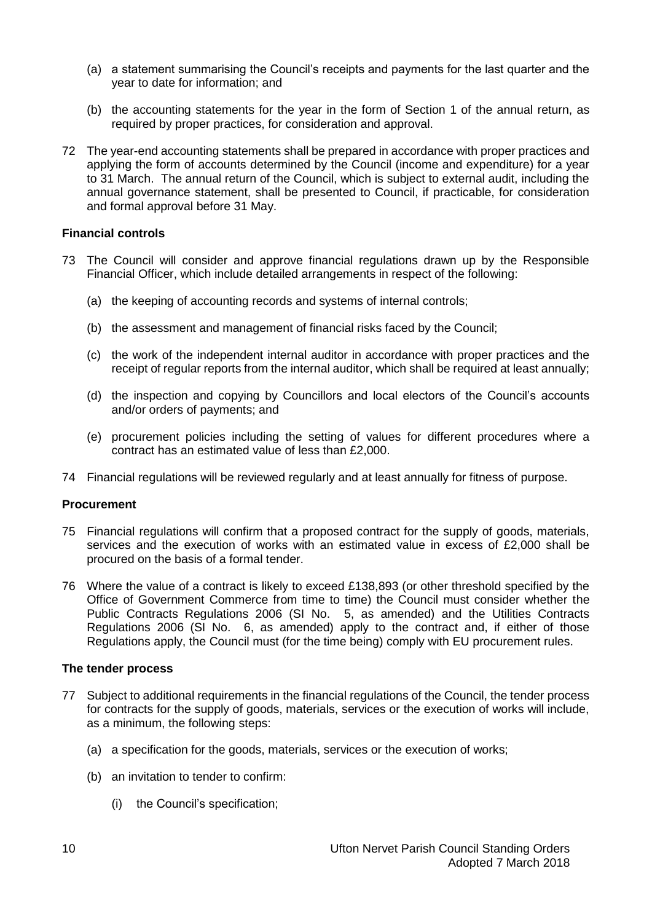- (a) a statement summarising the Council's receipts and payments for the last quarter and the year to date for information; and
- (b) the accounting statements for the year in the form of Section 1 of the annual return, as required by proper practices, for consideration and approval.
- 72 The year-end accounting statements shall be prepared in accordance with proper practices and applying the form of accounts determined by the Council (income and expenditure) for a year to 31 March. The annual return of the Council, which is subject to external audit, including the annual governance statement, shall be presented to Council, if practicable, for consideration and formal approval before 31 May.

#### <span id="page-9-0"></span>**Financial controls**

- 73 The Council will consider and approve financial regulations drawn up by the Responsible Financial Officer, which include detailed arrangements in respect of the following:
	- (a) the keeping of accounting records and systems of internal controls;
	- (b) the assessment and management of financial risks faced by the Council;
	- (c) the work of the independent internal auditor in accordance with proper practices and the receipt of regular reports from the internal auditor, which shall be required at least annually;
	- (d) the inspection and copying by Councillors and local electors of the Council's accounts and/or orders of payments; and
	- (e) procurement policies including the setting of values for different procedures where a contract has an estimated value of less than £2,000.
- 74 Financial regulations will be reviewed regularly and at least annually for fitness of purpose.

#### <span id="page-9-1"></span>**Procurement**

- 75 Financial regulations will confirm that a proposed contract for the supply of goods, materials, services and the execution of works with an estimated value in excess of £2,000 shall be procured on the basis of a formal tender.
- 76 Where the value of a contract is likely to exceed £138,893 (or other threshold specified by the Office of Government Commerce from time to time) the Council must consider whether the Public Contracts Regulations 2006 (SI No. 5, as amended) and the Utilities Contracts Regulations 2006 (SI No. 6, as amended) apply to the contract and, if either of those Regulations apply, the Council must (for the time being) comply with EU procurement rules.

#### <span id="page-9-2"></span>**The tender process**

- 77 Subject to additional requirements in the financial regulations of the Council, the tender process for contracts for the supply of goods, materials, services or the execution of works will include, as a minimum, the following steps:
	- (a) a specification for the goods, materials, services or the execution of works;
	- (b) an invitation to tender to confirm:
		- (i) the Council's specification;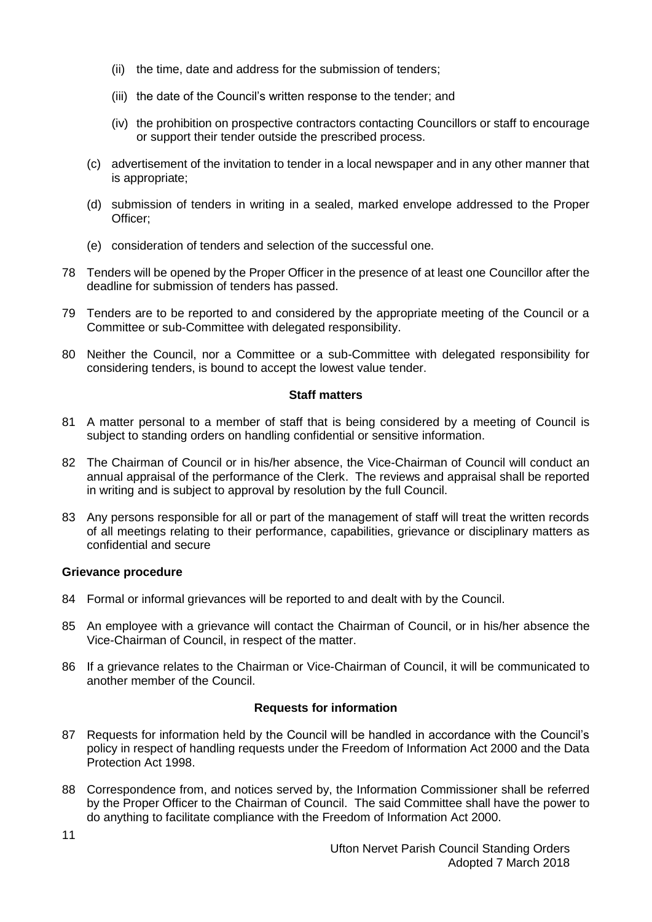- (ii) the time, date and address for the submission of tenders;
- (iii) the date of the Council's written response to the tender; and
- (iv) the prohibition on prospective contractors contacting Councillors or staff to encourage or support their tender outside the prescribed process.
- (c) advertisement of the invitation to tender in a local newspaper and in any other manner that is appropriate;
- (d) submission of tenders in writing in a sealed, marked envelope addressed to the Proper Officer;
- (e) consideration of tenders and selection of the successful one.
- 78 Tenders will be opened by the Proper Officer in the presence of at least one Councillor after the deadline for submission of tenders has passed.
- 79 Tenders are to be reported to and considered by the appropriate meeting of the Council or a Committee or sub-Committee with delegated responsibility.
- 80 Neither the Council, nor a Committee or a sub-Committee with delegated responsibility for considering tenders, is bound to accept the lowest value tender.

#### **Staff matters**

- <span id="page-10-0"></span>81 A matter personal to a member of staff that is being considered by a meeting of Council is subject to standing orders on handling confidential or sensitive information.
- 82 The Chairman of Council or in his/her absence, the Vice-Chairman of Council will conduct an annual appraisal of the performance of the Clerk. The reviews and appraisal shall be reported in writing and is subject to approval by resolution by the full Council.
- 83 Any persons responsible for all or part of the management of staff will treat the written records of all meetings relating to their performance, capabilities, grievance or disciplinary matters as confidential and secure

#### <span id="page-10-1"></span>**Grievance procedure**

- 84 Formal or informal grievances will be reported to and dealt with by the Council.
- 85 An employee with a grievance will contact the Chairman of Council, or in his/her absence the Vice-Chairman of Council, in respect of the matter.
- 86 If a grievance relates to the Chairman or Vice-Chairman of Council, it will be communicated to another member of the Council.

#### **Requests for information**

- <span id="page-10-2"></span>87 Requests for information held by the Council will be handled in accordance with the Council's policy in respect of handling requests under the Freedom of Information Act 2000 and the Data Protection Act 1998.
- 88 Correspondence from, and notices served by, the Information Commissioner shall be referred by the Proper Officer to the Chairman of Council. The said Committee shall have the power to do anything to facilitate compliance with the Freedom of Information Act 2000.